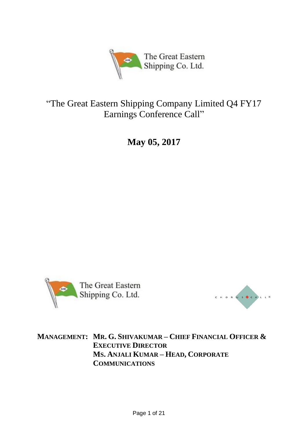

# "The Great Eastern Shipping Company Limited Q4 FY17 Earnings Conference Call"

**May 05, 2017**





**MANAGEMENT: MR. G. SHIVAKUMAR – CHIEF FINANCIAL OFFICER & EXECUTIVE DIRECTOR MS. ANJALI KUMAR – HEAD, CORPORATE COMMUNICATIONS**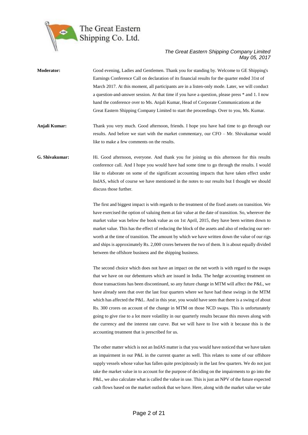

- **Moderator:** Good evening, Ladies and Gentlemen. Thank you for standing by. Welcome to GE Shipping's Earnings Conference Call on declaration of its financial results for the quarter ended 31st of March 2017. At this moment, all participants are in a listen-only mode. Later, we will conduct a question-and-answer session. At that time if you have a question, please press \* and 1. I now hand the conference over to Ms. Anjali Kumar, Head of Corporate Communications at the Great Eastern Shipping Company Limited to start the proceedings. Over to you, Ms. Kumar.
- **Anjali Kumar:** Thank you very much. Good afternoon, friends. I hope you have had time to go through our results. And before we start with the market commentary, our CFO – Mr. Shivakumar would like to make a few comments on the results.
- **G. Shivakumar:** Hi. Good afternoon, everyone. And thank you for joining us this afternoon for this results conference call. And I hope you would have had some time to go through the results. I would like to elaborate on some of the significant accounting impacts that have taken effect under IndAS, which of course we have mentioned in the notes to our results but I thought we should discuss those further.

The first and biggest impact is with regards to the treatment of the fixed assets on transition. We have exercised the option of valuing them at fair value at the date of transition. So, wherever the market value was below the book value as on 1st April, 2015, they have been written down to market value. This has the effect of reducing the block of the assets and also of reducing our networth at the time of transition. The amount by which we have written down the value of our rigs and ships is approximately Rs. 2,000 crores between the two of them. It is about equally divided between the offshore business and the shipping business.

The second choice which does not have an impact on the net worth is with regard to the swaps that we have on our debentures which are issued in India. The hedge accounting treatment on those transactions has been discontinued, so any future change in MTM will affect the P&L, we have already seen that over the last four quarters where we have had these swings in the MTM which has affected the P&L. And in this year, you would have seen that there is a swing of about Rs. 300 crores on account of the change in MTM on those NCD swaps. This is unfortunately going to give rise to a lot more volatility in our quarterly results because this moves along with the currency and the interest rate curve. But we will have to live with it because this is the accounting treatment that is prescribed for us.

The other matter which is not an IndAS matter is that you would have noticed that we have taken an impairment in our P&L in the current quarter as well. This relates to some of our offshore supply vessels whose value has fallen quite precipitously in the last few quarters. We do not just take the market value in to account for the purpose of deciding on the impairments to go into the P&L, we also calculate what is called the value in use. This is just an NPV of the future expected cash flows based on the market outlook that we have. Here, along with the market value we take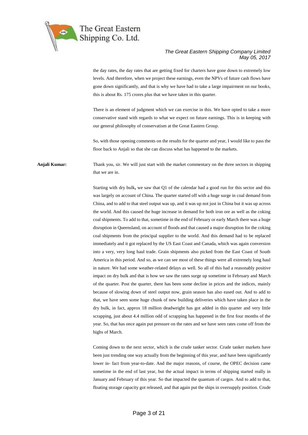

the day rates, the day rates that are getting fixed for charters have gone down to extremely low levels. And therefore, when we project these earnings, even the NPVs of future cash flows have gone down significantly, and that is why we have had to take a large impairment on our books, this is about Rs. 175 crores plus that we have taken in this quarter.

There is an element of judgment which we can exercise in this. We have opted to take a more conservative stand with regards to what we expect on future earnings. This is in keeping with our general philosophy of conservatism at the Great Eastern Group.

So, with those opening comments on the results for the quarter and year, I would like to pass the floor back to Anjali so that she can discuss what has happened to the markets.

**Anjali Kumar:** Thank you, sir. We will just start with the market commentary on the three sectors in shipping that we are in.

> Starting with dry bulk**,** we saw that Q1 of the calendar had a good run for this sector and this was largely on account of China. The quarter started off with a huge surge in coal demand from China, and to add to that steel output was up, and it was up not just in China but it was up across the world. And this caused the huge increase in demand for both iron ore as well as the coking coal shipments. To add to that, sometime in the end of February or early March there was a huge disruption in Queensland, on account of floods and that caused a major disruption for the coking coal shipments from the principal supplier to the world. And this demand had to be replaced immediately and it got replaced by the US East Coast and Canada, which was again conversion into a very, very long haul trade. Grain shipments also picked from the East Coast of South America in this period. And so, as we can see most of these things were all extremely long haul in nature. We had some weather-related delays as well. So all of this had a reasonably positive impact on dry bulk and that is how we saw the rates surge up sometime in February and March of the quarter. Post the quarter, there has been some decline in prices and the indices, mainly because of slowing down of steel output now, grain season has also eased out. And to add to that, we have seen some huge chunk of new building deliveries which have taken place in the dry bulk, in fact, approx 18 million deadweight has got added in this quarter and very little scrapping, just about 4.4 million odd of scrapping has happened in the first four months of the year. So, that has once again put pressure on the rates and we have seen rates come off from the highs of March.

> Coming down to the next sector, which is the crude tanker sector. Crude tanker markets have been just trending one way actually from the beginning of this year, and have been significantly lower in- fact from year-to-date. And the major reasons, of course, the OPEC decision came sometime in the end of last year, but the actual impact in terms of shipping started really in January and February of this year. So that impacted the quantum of cargos. And to add to that, floating storage capacity got released, and that again put the ships in oversupply position. Crude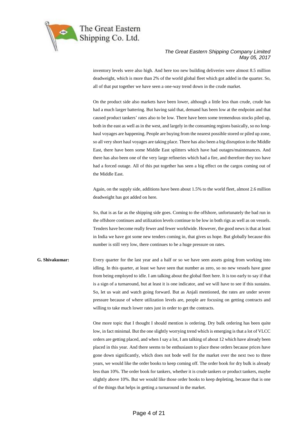

inventory levels were also high. And here too new building deliveries were almost 8.5 million deadweight, which is more than 2% of the world global fleet which got added in the quarter. So, all of that put together we have seen a one-way trend down in the crude market.

On the product side also markets have been lower, although a little less than crude, crude has had a much larger battering. But having said that, demand has been low at the endpoint and that caused product tankers' rates also to be low. There have been some tremendous stocks piled up, both in the east as well as in the west, and largely in the consuming regions basically, so no longhaul voyages are happening. People are buying from the nearest possible stored or piled up zone, so all very short haul voyages are taking place. There has also been a big disruption in the Middle East, there have been some Middle East splitters which have had outages/maintenances. And there has also been one of the very large refineries which had a fire, and therefore they too have had a forced outage. All of this put together has seen a big effect on the cargos coming out of the Middle East.

Again, on the supply side, additions have been about 1.5% to the world fleet, almost 2.6 million deadweight has got added on here.

So, that is as far as the shipping side goes. Coming to the offshore, unfortunately the bad run in the offshore continues and utilization levels continue to be low in both rigs as well as on vessels. Tenders have become really fewer and fewer worldwide. However, the good news is that at least in India we have got some new tenders coming in, that gives us hope. But globally because this number is still very low, there continues to be a huge pressure on rates.

## **G. Shivakumar:** Every quarter for the last year and a half or so we have seen assets going from working into idling. In this quarter, at least we have seen that number as zero, so no new vessels have gone from being employed to idle. I am talking about the global fleet here. It is too early to say if that is a sign of a turnaround, but at least it is one indicator, and we will have to see if this sustains. So, let us wait and watch going forward. But as Anjali mentioned, the rates are under severe pressure because of where utilization levels are, people are focusing on getting contracts and willing to take much lower rates just in order to get the contracts.

One more topic that I thought I should mention is ordering. Dry bulk ordering has been quite low, in fact minimal. But the one slightly worrying trend which is emerging is that a lot of VLCC orders are getting placed, and when I say a lot, I am talking of about 12 which have already been placed in this year. And there seems to be enthusiasm to place these orders because prices have gone down significantly, which does not bode well for the market over the next two to three years, we would like the order books to keep coming off. The order book for dry bulk is already less than 10%. The order book for tankers, whether it is crude tankers or product tankers, maybe slightly above 10%. But we would like those order books to keep depleting, because that is one of the things that helps in getting a turnaround in the market.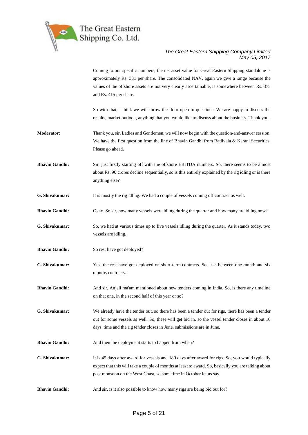

Coming to our specific numbers, the net asset value for Great Eastern Shipping standalone is approximately Rs. 331 per share. The consolidated NAV, again we give a range because the values of the offshore assets are not very clearly ascertainable, is somewhere between Rs. 375 and Rs. 415 per share.

So with that, I think we will throw the floor open to questions. We are happy to discuss the results, market outlook, anything that you would like to discuss about the business. Thank you.

- **Moderator:** Thank you, sir. Ladies and Gentlemen, we will now begin with the question-and-answer session. We have the first question from the line of Bhavin Gandhi from Batlivala & Karani Securities. Please go ahead.
- **Bhavin Gandhi:** Sir, just firstly starting off with the offshore EBITDA numbers. So, there seems to be almost about Rs. 90 crores decline sequentially, so is this entirely explained by the rig idling or is there anything else?
- **G. Shivakumar:** It is mostly the rig idling. We had a couple of vessels coming off contract as well.
- **Bhavin Gandhi:** Okay. So sir, how many vessels were idling during the quarter and how many are idling now?
- **G. Shivakumar:** So, we had at various times up to five vessels idling during the quarter. As it stands today, two vessels are idling.
- **Bhavin Gandhi:** So rest have got deployed?
- **G. Shivakumar:** Yes, the rest have got deployed on short-term contracts. So, it is between one month and six months contracts.
- **Bhavin Gandhi:** And sir, Anjali ma'am mentioned about new tenders coming in India. So, is there any timeline on that one, in the second half of this year or so?
- **G. Shivakumar:** We already have the tender out, so there has been a tender out for rigs, there has been a tender out for some vessels as well. So, these will get bid in, so the vessel tender closes in about 10 days' time and the rig tender closes in June, submissions are in June.
- **Bhavin Gandhi:** And then the deployment starts to happen from when?
- **G. Shivakumar:** It is 45 days after award for vessels and 180 days after award for rigs. So, you would typically expect that this will take a couple of months at least to award. So, basically you are talking about post monsoon on the West Coast, so sometime in October let us say.
- **Bhavin Gandhi:** And sir, is it also possible to know how many rigs are being bid out for?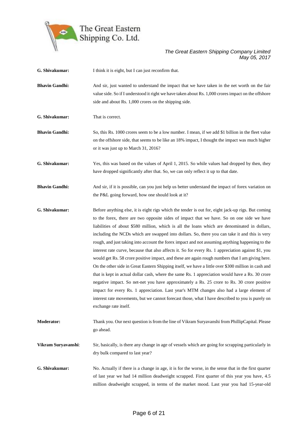

| G. Shivakumar:        | I think it is eight, but I can just reconfirm that.                                                                                                                                                                                                                                                                                                                                                                                                                                                                                                                                                                                                                                                                                                                                                                                                                                                                                                                                                                                                                                                                                                                                                                                             |
|-----------------------|-------------------------------------------------------------------------------------------------------------------------------------------------------------------------------------------------------------------------------------------------------------------------------------------------------------------------------------------------------------------------------------------------------------------------------------------------------------------------------------------------------------------------------------------------------------------------------------------------------------------------------------------------------------------------------------------------------------------------------------------------------------------------------------------------------------------------------------------------------------------------------------------------------------------------------------------------------------------------------------------------------------------------------------------------------------------------------------------------------------------------------------------------------------------------------------------------------------------------------------------------|
| <b>Bhavin Gandhi:</b> | And sir, just wanted to understand the impact that we have taken in the net worth on the fair<br>value side. So if I understood it right we have taken about Rs. 1,000 crores impact on the offshore<br>side and about Rs. 1,000 crores on the shipping side.                                                                                                                                                                                                                                                                                                                                                                                                                                                                                                                                                                                                                                                                                                                                                                                                                                                                                                                                                                                   |
| G. Shivakumar:        | That is correct.                                                                                                                                                                                                                                                                                                                                                                                                                                                                                                                                                                                                                                                                                                                                                                                                                                                                                                                                                                                                                                                                                                                                                                                                                                |
| <b>Bhavin Gandhi:</b> | So, this Rs. 1000 crores seem to be a low number. I mean, if we add \$1 billion in the fleet value<br>on the offshore side, that seems to be like an 18% impact, I thought the impact was much higher<br>or it was just up to March 31, 2016?                                                                                                                                                                                                                                                                                                                                                                                                                                                                                                                                                                                                                                                                                                                                                                                                                                                                                                                                                                                                   |
| G. Shivakumar:        | Yes, this was based on the values of April 1, 2015. So while values had dropped by then, they<br>have dropped significantly after that. So, we can only reflect it up to that date.                                                                                                                                                                                                                                                                                                                                                                                                                                                                                                                                                                                                                                                                                                                                                                                                                                                                                                                                                                                                                                                             |
| <b>Bhavin Gandhi:</b> | And sir, if it is possible, can you just help us better understand the impact of forex variation on<br>the P&L going forward, how one should look at it?                                                                                                                                                                                                                                                                                                                                                                                                                                                                                                                                                                                                                                                                                                                                                                                                                                                                                                                                                                                                                                                                                        |
| G. Shivakumar:        | Before anything else, it is eight rigs which the tender is out for, eight jack-up rigs. But coming<br>to the forex, there are two opposite sides of impact that we have. So on one side we have<br>liabilities of about \$580 million, which is all the loans which are denominated in dollars,<br>including the NCDs which are swapped into dollars. So, there you can take it and this is very<br>rough, and just taking into account the forex impact and not assuming anything happening to the<br>interest rate curve, because that also affects it. So for every Rs. 1 appreciation against \$1, you<br>would get Rs. 58 crore positive impact, and these are again rough numbers that I am giving here.<br>On the other side in Great Eastern Shipping itself, we have a little over \$300 million in cash and<br>that is kept in actual dollar cash, where the same Rs. 1 appreciation would have a Rs. 30 crore<br>negative impact. So net-net you have approximately a Rs. 25 crore to Rs. 30 crore positive<br>impact for every Rs. 1 appreciation. Last year's MTM changes also had a large element of<br>interest rate movements, but we cannot forecast those, what I have described to you is purely on<br>exchange rate itself. |
| <b>Moderator:</b>     | Thank you. Our next question is from the line of Vikram Suryavanshi from PhillipCapital. Please<br>go ahead.                                                                                                                                                                                                                                                                                                                                                                                                                                                                                                                                                                                                                                                                                                                                                                                                                                                                                                                                                                                                                                                                                                                                    |
| Vikram Suryavanshi:   | Sir, basically, is there any change in age of vessels which are going for scrapping particularly in<br>dry bulk compared to last year?                                                                                                                                                                                                                                                                                                                                                                                                                                                                                                                                                                                                                                                                                                                                                                                                                                                                                                                                                                                                                                                                                                          |
| G. Shivakumar:        | No. Actually if there is a change in age, it is for the worse, in the sense that in the first quarter<br>of last year we had 14 million deadweight scrapped. First quarter of this year you have, 4.5<br>million deadweight scrapped, in terms of the market mood. Last year you had 15-year-old                                                                                                                                                                                                                                                                                                                                                                                                                                                                                                                                                                                                                                                                                                                                                                                                                                                                                                                                                |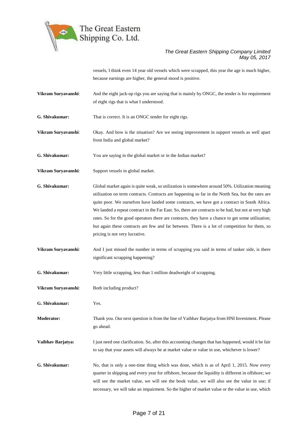

vessels, I think even 14 year old vessels which were scrapped, this year the age is much higher, because earnings are higher, the general mood is positive.

- **Vikram Suryavanshi**: And the eight jack-up rigs you are saying that is mainly by ONGC, the tender is for requirement of eight rigs that is what I understood.
- **G. Shivakumar:** That is correct. It is an ONGC tender for eight rigs.
- **Vikram Suryavanshi**: Okay. And how is the situation? Are we seeing improvement in support vessels as well apart from India and global market?
- **G. Shivakumar:** You are saying in the global market or in the Indian market?
- **Vikram Suryavanshi**: Support vessels in global market.
- **G. Shivakumar:** Global market again is quite weak, so utilization is somewhere around 50%. Utilization meaning utilization on term contracts. Contracts are happening so far in the North Sea, but the rates are quite poor. We ourselves have landed some contracts, we have got a contract in South Africa. We landed a repeat contract in the Far East. So, there are contracts to be had, but not at very high rates. So for the good operators there are contracts, they have a chance to get some utilization; but again these contracts are few and far between. There is a lot of competition for them, so pricing is not very lucrative.
- **Vikram Suryavanshi**: And I just missed the number in terms of scrapping you said in terms of tanker side, is there significant scrapping happening?
- **G. Shivakumar:** Very little scrapping, less than 1 million deadweight of scrapping.
- **Vikram Suryavanshi**: Both including product?
- **G. Shivakumar:** Yes.

**Moderator:** Thank you. Our next question is from the line of Vaibhav Barjatya from HNI Investment. Please go ahead.

- **Vaibhav Barjatya:** I just need one clarification. So, after this accounting changes that has happened, would it be fair to say that your assets will always be at market value or value in use, whichever is lower?
- **G. Shivakumar:** No, that is only a one-time thing which was done, which is as of April 1, 2015. Now every quarter in shipping and every year for offshore, because the liquidity is different in offshore; we will see the market value, we will see the book value, we will also see the value in use; if necessary, we will take an impairment. So the higher of market value or the value in use, which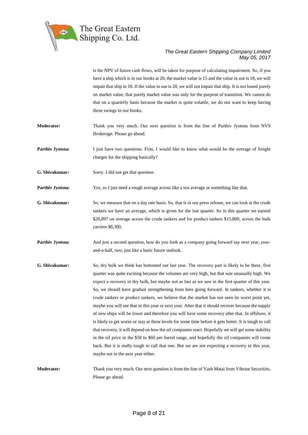

is the NPV of future cash flows, will be taken for purpose of calculating impairment. So, if you have a ship which is in our books at 20, the market value is 15 and the value in use is 18, we will impair that ship to 18. If the value in use is 20, we will not impair that ship. It is not based purely on market value, that purely market value was only for the purpose of transition. We cannot do that on a quarterly basis because the market is quite volatile, we do not want to keep having these swings in our books.

- **Moderator:** Thank you very much. Our next question is from the line of Parthiv Jyotsna from NVS Brokerage. Please go ahead.
- **Parthiv Jyotsna:** I just have two questions. First, I would like to know what would be the average of freight charges for the shipping basically?
- **G. Shivakumar:** Sorry. I did not get that question.
- **Parthiv Jyotsna:** Yes, so I just need a rough average across like a ton average or something like that.
- **G. Shivakumar:** So, we measure that on a day rate basis. So, that is in our press release, we can look at the crude tankers we have an average, which is given for the last quarter. So in this quarter we earned \$20,897 on average across the crude tankers and for product tankers \$15,800, across the bulk carriers \$8,300.
- **Parthiv Jyotsna:** And just a second question, how do you look as a company going forward say next year, yearand-a-half, two; just like a basic future outlook.
- **G. Shivakumar:** So, dry bulk we think has bottomed out last year. The recovery part is likely to be there, first quarter was quite exciting because the volumes are very high, but that was unusually high. We expect a recovery in dry bulk, but maybe not as fast as we saw in the first quarter of this year. So, we should have gradual strengthening from here going forward. In tankers, whether it is crude tankers or product tankers, we believe that the market has not seen its worst point yet, maybe you will see that in this year or next year. After that it should recover because the supply of new ships will be lower and therefore you will have some recovery after that. In offshore, it is likely to get worse or stay at these levels for some time before it gets better. It is tough to call that recovery, it will depend on how the oil companies react. Hopefully we will get some stability in the oil price in the \$50 to \$60 per barrel range, and hopefully the oil companies will come back. But it is really tough to call that one. But we are not expecting a recovery in this year, maybe not in the next year either.

**Moderator:** Thank you very much. Our next question is from the line of Yash Matai from Vibrant Securities. Please go ahead.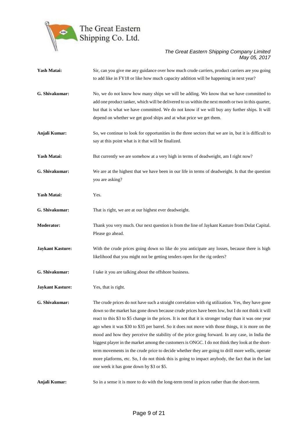

| Yash Matai:             | Sir, can you give me any guidance over how much crude carriers, product carriers are you going<br>to add like in FY18 or like how much capacity addition will be happening in next year?                                                                                                                                                                                                                                                                                                                                                                                                                                                                                                                                                                                                                                                                                         |
|-------------------------|----------------------------------------------------------------------------------------------------------------------------------------------------------------------------------------------------------------------------------------------------------------------------------------------------------------------------------------------------------------------------------------------------------------------------------------------------------------------------------------------------------------------------------------------------------------------------------------------------------------------------------------------------------------------------------------------------------------------------------------------------------------------------------------------------------------------------------------------------------------------------------|
| G. Shivakumar:          | No, we do not know how many ships we will be adding. We know that we have committed to<br>add one product tanker, which will be delivered to us within the next month or two in this quarter,<br>but that is what we have committed. We do not know if we will buy any further ships. It will<br>depend on whether we get good ships and at what price we get them.                                                                                                                                                                                                                                                                                                                                                                                                                                                                                                              |
| Anjali Kumar:           | So, we continue to look for opportunities in the three sectors that we are in, but it is difficult to<br>say at this point what is it that will be finalized.                                                                                                                                                                                                                                                                                                                                                                                                                                                                                                                                                                                                                                                                                                                    |
| Yash Matai:             | But currently we are somehow at a very high in terms of deadweight, am I right now?                                                                                                                                                                                                                                                                                                                                                                                                                                                                                                                                                                                                                                                                                                                                                                                              |
| G. Shivakumar:          | We are at the highest that we have been in our life in terms of deadweight. Is that the question<br>you are asking?                                                                                                                                                                                                                                                                                                                                                                                                                                                                                                                                                                                                                                                                                                                                                              |
| Yash Matai:             | Yes.                                                                                                                                                                                                                                                                                                                                                                                                                                                                                                                                                                                                                                                                                                                                                                                                                                                                             |
| G. Shivakumar:          | That is right, we are at our highest ever deadweight.                                                                                                                                                                                                                                                                                                                                                                                                                                                                                                                                                                                                                                                                                                                                                                                                                            |
| <b>Moderator:</b>       | Thank you very much. Our next question is from the line of Jaykant Kasture from Dolat Capital.<br>Please go ahead.                                                                                                                                                                                                                                                                                                                                                                                                                                                                                                                                                                                                                                                                                                                                                               |
| <b>Jaykant Kasture:</b> | With the crude prices going down so like do you anticipate any losses, because there is high<br>likelihood that you might not be getting tenders open for the rig orders?                                                                                                                                                                                                                                                                                                                                                                                                                                                                                                                                                                                                                                                                                                        |
| G. Shivakumar:          | I take it you are talking about the offshore business.                                                                                                                                                                                                                                                                                                                                                                                                                                                                                                                                                                                                                                                                                                                                                                                                                           |
| <b>Jaykant Kasture:</b> | Yes, that is right.                                                                                                                                                                                                                                                                                                                                                                                                                                                                                                                                                                                                                                                                                                                                                                                                                                                              |
| G. Shivakumar:          | The crude prices do not have such a straight correlation with rig utilization. Yes, they have gone<br>down so the market has gone down because crude prices have been low, but I do not think it will<br>react to this \$3 to \$5 change in the prices. It is not that it is stronger today than it was one year<br>ago when it was \$30 to \$35 per barrel. So it does not move with those things, it is more on the<br>mood and how they perceive the stability of the price going forward. In any case, in India the<br>biggest player in the market among the customers is ONGC. I do not think they look at the short-<br>term movements in the crude price to decide whether they are going to drill more wells, operate<br>more platforms, etc. So, I do not think this is going to impact anybody, the fact that in the last<br>one week it has gone down by \$3 or \$5. |
| Anjali Kumar:           | So in a sense it is more to do with the long-term trend in prices rather than the short-term.                                                                                                                                                                                                                                                                                                                                                                                                                                                                                                                                                                                                                                                                                                                                                                                    |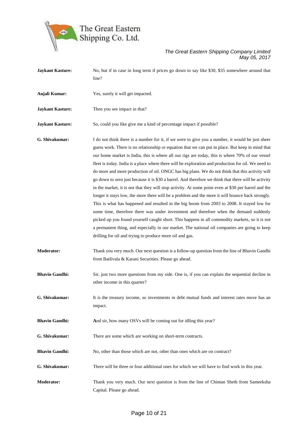

**Jaykant Kasture:** No, but if in case in long term if prices go down to say like \$30, \$35 somewhere around that line? **Anjali Kumar:** Yes, surely it will get impacted. **Jaykant Kasture:** Then you see impact in that? **Jaykant Kasture:** So, could you like give me a kind of percentage impact if possible? **G. Shivakumar:** I do not think there is a number for it, if we were to give you a number, it would be just sheer guess work. There is no relationship or equation that we can put in place. But keep in mind that our home market is India, this is where all our rigs are today, this is where 70% of our vessel fleet is today. India is a place where there will be exploration and production for oil. We need to do more and more production of oil. ONGC has big plans. We do not think that this activity will go down to zero just because it is \$30 a barrel. And therefore we think that there will be activity in the market, it is not that they will stop activity. At some point even at \$30 per barrel and the longer it stays low, the more there will be a problem and the more it will bounce back strongly. This is what has happened and resulted in the big boom from 2003 to 2008. It stayed low for some time, therefore there was under investment and therefore when the demand suddenly picked up you found yourself caught short. This happens in all commodity markets, so it is not a permanent thing, and especially in our market. The national oil companies are going to keep drilling for oil and trying to produce more oil and gas. **Moderator:** Thank you very much. Our next question is a follow-up question from the line of Bhavin Gandhi from Batlivala & Karani Securities. Please go ahead. **Bhavin Gandhi:** Sir, just two more questions from my side. One is, if you can explain the sequential decline in other income in this quarter? **G. Shivakumar:** It is the treasury income, so investments in debt mutual funds and interest rates move has an impact. **Bhavin Gandhi:** And sir, how many OSVs will be coming out for idling this year? **G. Shivakumar:** There are some which are working on short-term contracts. **Bhavin Gandhi:** No, other than those which are not, other than ones which are on contract? **G. Shivakumar:** There will be three or four additional ones for which we will have to find work in this year. **Moderator:** Thank you very much. Our next question is from the line of Chintan Sheth from Sameeksha Capital. Please go ahead.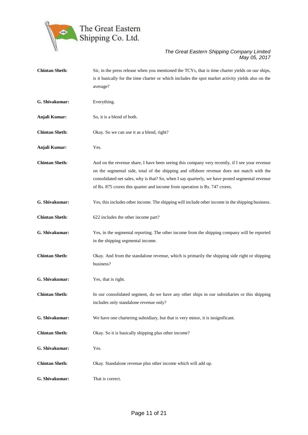

| <b>Chintan Sheth:</b> | Sir, in the press release when you mentioned the TCYs, that is time charter yields on our ships,                                                                                                                                                                                                                                                                              |
|-----------------------|-------------------------------------------------------------------------------------------------------------------------------------------------------------------------------------------------------------------------------------------------------------------------------------------------------------------------------------------------------------------------------|
|                       | is it basically for the time charter or which includes the spot market activity yields also on the                                                                                                                                                                                                                                                                            |
|                       | average?                                                                                                                                                                                                                                                                                                                                                                      |
| G. Shivakumar:        | Everything.                                                                                                                                                                                                                                                                                                                                                                   |
| Anjali Kumar:         | So, it is a blend of both.                                                                                                                                                                                                                                                                                                                                                    |
| <b>Chintan Sheth:</b> | Okay. So we can use it as a blend, right?                                                                                                                                                                                                                                                                                                                                     |
| Anjali Kumar:         | Yes.                                                                                                                                                                                                                                                                                                                                                                          |
| <b>Chintan Sheth:</b> | And on the revenue share, I have been seeing this company very recently, if I see your revenue<br>on the segmental side, total of the shipping and offshore revenue does not match with the<br>consolidated net sales, why is that? So, when I say quarterly, we have posted segmental revenue<br>of Rs. 875 crores this quarter and income from operation is Rs. 747 crores. |
| G. Shivakumar:        | Yes, this includes other income. The shipping will include other income in the shipping business.                                                                                                                                                                                                                                                                             |
| <b>Chintan Sheth:</b> | 622 includes the other income part?                                                                                                                                                                                                                                                                                                                                           |
| G. Shivakumar:        | Yes, in the segmental reporting. The other income from the shipping company will be reported<br>in the shipping segmental income.                                                                                                                                                                                                                                             |
| <b>Chintan Sheth:</b> | Okay. And from the standalone revenue, which is primarily the shipping side right or shipping<br>business?                                                                                                                                                                                                                                                                    |
| G. Shivakumar:        | Yes, that is right.                                                                                                                                                                                                                                                                                                                                                           |
| <b>Chintan Sheth:</b> | In our consolidated segment, do we have any other ships in our subsidiaries or this shipping<br>includes only standalone revenue only?                                                                                                                                                                                                                                        |
| G. Shivakumar:        | We have one chartering subsidiary, but that is very minor, it is insignificant.                                                                                                                                                                                                                                                                                               |
| <b>Chintan Sheth:</b> | Okay. So it is basically shipping plus other income?                                                                                                                                                                                                                                                                                                                          |
| G. Shivakumar:        | Yes.                                                                                                                                                                                                                                                                                                                                                                          |
| <b>Chintan Sheth:</b> | Okay. Standalone revenue plus other income which will add up.                                                                                                                                                                                                                                                                                                                 |
| G. Shivakumar:        | That is correct.                                                                                                                                                                                                                                                                                                                                                              |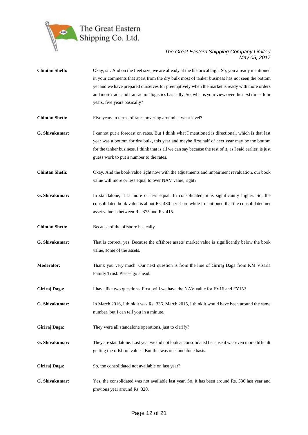

| <b>Chintan Sheth:</b> | Okay, sir. And on the fleet size, we are already at the historical high. So, you already mentioned<br>in your comments that apart from the dry bulk most of tanker business has not seen the bottom<br>yet and we have prepared ourselves for preemptively when the market is ready with more orders<br>and more trade and transaction logistics basically. So, what is your view over the next three, four<br>years, five years basically? |
|-----------------------|---------------------------------------------------------------------------------------------------------------------------------------------------------------------------------------------------------------------------------------------------------------------------------------------------------------------------------------------------------------------------------------------------------------------------------------------|
| <b>Chintan Sheth:</b> | Five years in terms of rates hovering around at what level?                                                                                                                                                                                                                                                                                                                                                                                 |
| G. Shivakumar:        | I cannot put a forecast on rates. But I think what I mentioned is directional, which is that last<br>year was a bottom for dry bulk, this year and maybe first half of next year may be the bottom<br>for the tanker business. I think that is all we can say because the rest of it, as I said earlier, is just<br>guess work to put a number to the rates.                                                                                |
| <b>Chintan Sheth:</b> | Okay. And the book value right now with the adjustments and impairment revaluation, our book<br>value will more or less equal to over NAV value, right?                                                                                                                                                                                                                                                                                     |
| G. Shivakumar:        | In standalone, it is more or less equal. In consolidated, it is significantly higher. So, the<br>consolidated book value is about Rs. 480 per share while I mentioned that the consolidated net<br>asset value is between Rs. 375 and Rs. 415.                                                                                                                                                                                              |
| <b>Chintan Sheth:</b> | Because of the offshore basically.                                                                                                                                                                                                                                                                                                                                                                                                          |
| G. Shivakumar:        | That is correct, yes. Because the offshore assets' market value is significantly below the book<br>value, some of the assets.                                                                                                                                                                                                                                                                                                               |
| Moderator:            | Thank you very much. Our next question is from the line of Giriraj Daga from KM Visaria<br>Family Trust. Please go ahead.                                                                                                                                                                                                                                                                                                                   |
| Giriraj Daga:         | I have like two questions. First, will we have the NAV value for FY16 and FY15?                                                                                                                                                                                                                                                                                                                                                             |
| G. Shivakumar:        | In March 2016, I think it was Rs. 336. March 2015, I think it would have been around the same<br>number, but I can tell you in a minute.                                                                                                                                                                                                                                                                                                    |
| Giriraj Daga:         | They were all standalone operations, just to clarify?                                                                                                                                                                                                                                                                                                                                                                                       |
| G. Shivakumar:        | They are standalone. Last year we did not look at consolidated because it was even more difficult<br>getting the offshore values. But this was on standalone basis.                                                                                                                                                                                                                                                                         |
| Giriraj Daga:         | So, the consolidated not available on last year?                                                                                                                                                                                                                                                                                                                                                                                            |
| G. Shivakumar:        | Yes, the consolidated was not available last year. So, it has been around Rs. 336 last year and<br>previous year around Rs. 320.                                                                                                                                                                                                                                                                                                            |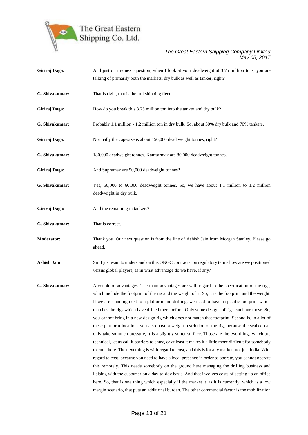

| Giriraj Daga:       | And just on my next question, when I look at your deadweight at 3.75 million tons, you are<br>talking of primarily both the markets, dry bulk as well as tanker, right?                                                                                                                                                                                                                                                                                                                                                                                                                                                                                                                                                                                                                                                                                                                                                                                                                                                                                                                                                                                                                                                                                                                                                                                                                                                                                  |
|---------------------|----------------------------------------------------------------------------------------------------------------------------------------------------------------------------------------------------------------------------------------------------------------------------------------------------------------------------------------------------------------------------------------------------------------------------------------------------------------------------------------------------------------------------------------------------------------------------------------------------------------------------------------------------------------------------------------------------------------------------------------------------------------------------------------------------------------------------------------------------------------------------------------------------------------------------------------------------------------------------------------------------------------------------------------------------------------------------------------------------------------------------------------------------------------------------------------------------------------------------------------------------------------------------------------------------------------------------------------------------------------------------------------------------------------------------------------------------------|
| G. Shivakumar:      | That is right, that is the full shipping fleet.                                                                                                                                                                                                                                                                                                                                                                                                                                                                                                                                                                                                                                                                                                                                                                                                                                                                                                                                                                                                                                                                                                                                                                                                                                                                                                                                                                                                          |
| Giriraj Daga:       | How do you break this 3.75 million ton into the tanker and dry bulk?                                                                                                                                                                                                                                                                                                                                                                                                                                                                                                                                                                                                                                                                                                                                                                                                                                                                                                                                                                                                                                                                                                                                                                                                                                                                                                                                                                                     |
| G. Shivakumar:      | Probably 1.1 million - 1.2 million ton in dry bulk. So, about 30% dry bulk and 70% tankers.                                                                                                                                                                                                                                                                                                                                                                                                                                                                                                                                                                                                                                                                                                                                                                                                                                                                                                                                                                                                                                                                                                                                                                                                                                                                                                                                                              |
| Giriraj Daga:       | Normally the capesize is about 150,000 dead weight tonnes, right?                                                                                                                                                                                                                                                                                                                                                                                                                                                                                                                                                                                                                                                                                                                                                                                                                                                                                                                                                                                                                                                                                                                                                                                                                                                                                                                                                                                        |
| G. Shivakumar:      | 180,000 deadweight tonnes. Kamsarmax are 80,000 deadweight tonnes.                                                                                                                                                                                                                                                                                                                                                                                                                                                                                                                                                                                                                                                                                                                                                                                                                                                                                                                                                                                                                                                                                                                                                                                                                                                                                                                                                                                       |
| Giriraj Daga:       | And Supramax are 50,000 deadweight tonnes?                                                                                                                                                                                                                                                                                                                                                                                                                                                                                                                                                                                                                                                                                                                                                                                                                                                                                                                                                                                                                                                                                                                                                                                                                                                                                                                                                                                                               |
| G. Shivakumar:      | Yes, 50,000 to 60,000 deadweight tonnes. So, we have about 1.1 million to 1.2 million<br>deadweight in dry bulk.                                                                                                                                                                                                                                                                                                                                                                                                                                                                                                                                                                                                                                                                                                                                                                                                                                                                                                                                                                                                                                                                                                                                                                                                                                                                                                                                         |
| Giriraj Daga:       | And the remaining in tankers?                                                                                                                                                                                                                                                                                                                                                                                                                                                                                                                                                                                                                                                                                                                                                                                                                                                                                                                                                                                                                                                                                                                                                                                                                                                                                                                                                                                                                            |
| G. Shivakumar:      | That is correct.                                                                                                                                                                                                                                                                                                                                                                                                                                                                                                                                                                                                                                                                                                                                                                                                                                                                                                                                                                                                                                                                                                                                                                                                                                                                                                                                                                                                                                         |
| <b>Moderator:</b>   | Thank you. Our next question is from the line of Ashish Jain from Morgan Stanley. Please go<br>ahead.                                                                                                                                                                                                                                                                                                                                                                                                                                                                                                                                                                                                                                                                                                                                                                                                                                                                                                                                                                                                                                                                                                                                                                                                                                                                                                                                                    |
| <b>Ashish Jain:</b> | Sir, I just want to understand on this ONGC contracts, on regulatory terms how are we positioned<br>versus global players, as in what advantage do we have, if any?                                                                                                                                                                                                                                                                                                                                                                                                                                                                                                                                                                                                                                                                                                                                                                                                                                                                                                                                                                                                                                                                                                                                                                                                                                                                                      |
| G. Shivakumar:      | A couple of advantages. The main advantages are with regard to the specification of the rigs,<br>which include the footprint of the rig and the weight of it. So, it is the footprint and the weight.<br>If we are standing next to a platform and drilling, we need to have a specific footprint which<br>matches the rigs which have drilled there before. Only some designs of rigs can have those. So,<br>you cannot bring in a new design rig which does not match that footprint. Second is, in a lot of<br>these platform locations you also have a weight restriction of the rig, because the seabed can<br>only take so much pressure, it is a slightly softer surface. Those are the two things which are<br>technical, let us call it barriers to entry, or at least it makes it a little more difficult for somebody<br>to enter here. The next thing is with regard to cost, and this is for any market, not just India. With<br>regard to cost, because you need to have a local presence in order to operate, you cannot operate<br>this remotely. This needs somebody on the ground here managing the drilling business and<br>liaising with the customer on a day-to-day basis. And that involves costs of setting up an office<br>here. So, that is one thing which especially if the market is as it is currently, which is a low<br>margin scenario, that puts an additional burden. The other commercial factor is the mobilization |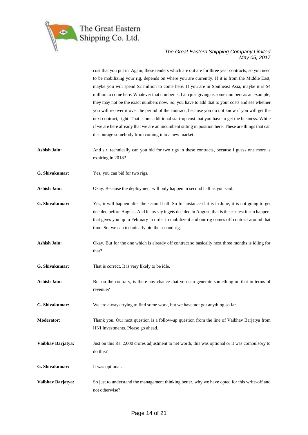

cost that you put in. Again, these tenders which are out are for three year contracts, so you need to be mobilizing your rig, depends on where you are currently. If it is from the Middle East, maybe you will spend \$2 million to come here. If you are in Southeast Asia, maybe it is \$4 million to come here. Whatever that number is, I am just giving us some numbers as an example, they may not be the exact numbers now. So, you have to add that to your costs and see whether you will recover it over the period of the contract, because you do not know if you will get the next contract, right. That is one additional start-up cost that you have to get the business. While if we are here already that we are an incumbent sitting in position here. These are things that can discourage somebody from coming into a new market.

- Ashish Jain: And sir, technically can you bid for two rigs in these contracts, because I guess one more is expiring in 2018?
- **G. Shivakumar:** Yes, you can bid for two rigs.

**Ashish Jain:** Okay. Because the deployment will only happen in second half as you said.

- **G. Shivakumar:** Yes, it will happen after the second half. So for instance if it is in June, it is not going to get decided before August. And let us say it gets decided in August, that is the earliest it can happen, that gives you up to February in order to mobilize it and our rig comes off contract around that time. So, we can technically bid the second rig.
- **Ashish Jain:** Okay. But for the one which is already off contract so basically next three months is idling for that?
- **G. Shivakumar:** That is correct. It is very likely to be idle.
- Ashish Jain: But on the contrary, is there any chance that you can generate something on that in terms of revenue?

**G. Shivakumar:** We are always trying to find some work, but we have not got anything so far.

- **Moderator:** Thank you. Our next question is a follow-up question from the line of Vaibhav Barjatya from HNI Investments. Please go ahead.
- **Vaibhav Barjatya:** Just on this Rs. 2,000 crores adjustment to net worth, this was optional or it was compulsory to do this?

**G. Shivakumar:** It was optional.

**Vaibhav Barjatya:** So just to understand the management thinking better, why we have opted for this write-off and not otherwise?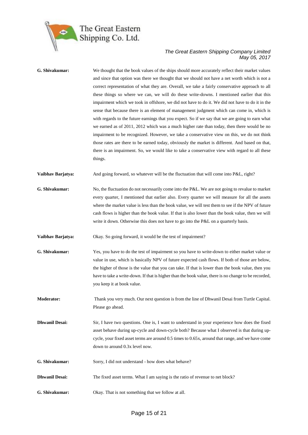

| G. Shivakumar:        | We thought that the book values of the ships should more accurately reflect their market values<br>and since that option was there we thought that we should not have a net worth which is not a<br>correct representation of what they are. Overall, we take a fairly conservative approach to all<br>these things so where we can, we will do these write-downs. I mentioned earlier that this<br>impairment which we took in offshore, we did not have to do it. We did not have to do it in the<br>sense that because there is an element of management judgment which can come in, which is<br>with regards to the future earnings that you expect. So if we say that we are going to earn what<br>we earned as of 2011, 2012 which was a much higher rate than today, then there would be no<br>impairment to be recognized. However, we take a conservative view on this, we do not think<br>those rates are there to be earned today, obviously the market is different. And based on that,<br>there is an impairment. So, we would like to take a conservative view with regard to all these<br>things. |
|-----------------------|------------------------------------------------------------------------------------------------------------------------------------------------------------------------------------------------------------------------------------------------------------------------------------------------------------------------------------------------------------------------------------------------------------------------------------------------------------------------------------------------------------------------------------------------------------------------------------------------------------------------------------------------------------------------------------------------------------------------------------------------------------------------------------------------------------------------------------------------------------------------------------------------------------------------------------------------------------------------------------------------------------------------------------------------------------------------------------------------------------------|
| Vaibhav Barjatya:     | And going forward, so whatever will be the fluctuation that will come into P&L, right?                                                                                                                                                                                                                                                                                                                                                                                                                                                                                                                                                                                                                                                                                                                                                                                                                                                                                                                                                                                                                           |
| G. Shivakumar:        | No, the fluctuation do not necessarily come into the P&L. We are not going to revalue to market<br>every quarter, I mentioned that earlier also. Every quarter we will measure for all the assets<br>where the market value is less than the book value, we will test them to see if the NPV of future<br>cash flows is higher than the book value. If that is also lower than the book value, then we will<br>write it down. Otherwise this does not have to go into the P&L on a quarterly basis.                                                                                                                                                                                                                                                                                                                                                                                                                                                                                                                                                                                                              |
| Vaibhav Barjatya:     | Okay. So going forward, it would be the test of impairment?                                                                                                                                                                                                                                                                                                                                                                                                                                                                                                                                                                                                                                                                                                                                                                                                                                                                                                                                                                                                                                                      |
| G. Shivakumar:        | Yes, you have to do the test of impairment so you have to write-down to either market value or<br>value in use, which is basically NPV of future expected cash flows. If both of those are below,<br>the higher of those is the value that you can take. If that is lower than the book value, then you<br>have to take a write-down. If that is higher than the book value, there is no change to be recorded,<br>you keep it at book value.                                                                                                                                                                                                                                                                                                                                                                                                                                                                                                                                                                                                                                                                    |
| <b>Moderator:</b>     | Thank you very much. Our next question is from the line of Dhwanil Desai from Turtle Capital.<br>Please go ahead.                                                                                                                                                                                                                                                                                                                                                                                                                                                                                                                                                                                                                                                                                                                                                                                                                                                                                                                                                                                                |
| <b>Dhwanil Desai:</b> | Sir, I have two questions. One is, I want to understand in your experience how does the fixed<br>asset behave during up-cycle and down-cycle both? Because what I observed is that during up-<br>cycle, your fixed asset terms are around 0.5 times to 0.65x, around that range, and we have come<br>down to around 0.3x level now.                                                                                                                                                                                                                                                                                                                                                                                                                                                                                                                                                                                                                                                                                                                                                                              |
| G. Shivakumar:        | Sorry, I did not understand - how does what behave?                                                                                                                                                                                                                                                                                                                                                                                                                                                                                                                                                                                                                                                                                                                                                                                                                                                                                                                                                                                                                                                              |
| <b>Dhwanil Desai:</b> | The fixed asset terms. What I am saying is the ratio of revenue to net block?                                                                                                                                                                                                                                                                                                                                                                                                                                                                                                                                                                                                                                                                                                                                                                                                                                                                                                                                                                                                                                    |
| G. Shivakumar:        | Okay. That is not something that we follow at all.                                                                                                                                                                                                                                                                                                                                                                                                                                                                                                                                                                                                                                                                                                                                                                                                                                                                                                                                                                                                                                                               |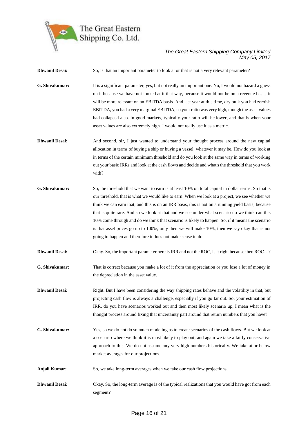

| <b>Dhwanil Desai:</b> | So, is that an important parameter to look at or that is not a very relevant parameter?                                                                                                                                                                                                                                                                                                                                                                                                                                                                                                                                                                                           |
|-----------------------|-----------------------------------------------------------------------------------------------------------------------------------------------------------------------------------------------------------------------------------------------------------------------------------------------------------------------------------------------------------------------------------------------------------------------------------------------------------------------------------------------------------------------------------------------------------------------------------------------------------------------------------------------------------------------------------|
| G. Shivakumar:        | It is a significant parameter, yes, but not really an important one. No, I would not hazard a guess<br>on it because we have not looked at it that way, because it would not be on a revenue basis, it<br>will be more relevant on an EBITDA basis. And last year at this time, dry bulk you had zeroish<br>EBITDA, you had a very marginal EBITDA, so your ratio was very high, though the asset values<br>had collapsed also. In good markets, typically your ratio will be lower, and that is when your<br>asset values are also extremely high. I would not really use it as a metric.                                                                                        |
| <b>Dhwanil Desai:</b> | And second, sir, I just wanted to understand your thought process around the new capital<br>allocation in terms of buying a ship or buying a vessel, whatever it may be. How do you look at<br>in terms of the certain minimum threshold and do you look at the same way in terms of working<br>out your basic IRRs and look at the cash flows and decide and what's the threshold that you work<br>with?                                                                                                                                                                                                                                                                         |
| G. Shivakumar:        | So, the threshold that we want to earn is at least 10% on total capital in dollar terms. So that is<br>our threshold, that is what we would like to earn. When we look at a project, we see whether we<br>think we can earn that, and this is on an IRR basis, this is not on a running yield basis, because<br>that is quite rare. And so we look at that and we see under what scenario do we think can this<br>10% come through and do we think that scenario is likely to happen. So, if it means the scenario<br>is that asset prices go up to 100%, only then we will make 10%, then we say okay that is not<br>going to happen and therefore it does not make sense to do. |
| <b>Dhwanil Desai:</b> | Okay. So, the important parameter here is IRR and not the ROC, is it right because then ROC?                                                                                                                                                                                                                                                                                                                                                                                                                                                                                                                                                                                      |
| G. Shivakumar:        | That is correct because you make a lot of it from the appreciation or you lose a lot of money in<br>the depreciation in the asset value.                                                                                                                                                                                                                                                                                                                                                                                                                                                                                                                                          |
| <b>Dhwanil Desai:</b> | Right. But I have been considering the way shipping rates behave and the volatility in that, but<br>projecting cash flow is always a challenge, especially if you go far out. So, your estimation of<br>IRR, do you have scenarios worked out and then most likely scenario up, I mean what is the<br>thought process around fixing that uncertainty part around that return numbers that you have?                                                                                                                                                                                                                                                                               |
| G. Shivakumar:        | Yes, so we do not do so much modeling as to create scenarios of the cash flows. But we look at<br>a scenario where we think it is most likely to play out, and again we take a fairly conservative<br>approach to this. We do not assume any very high numbers historically. We take at or below<br>market averages for our projections.                                                                                                                                                                                                                                                                                                                                          |
| Anjali Kumar:         | So, we take long-term averages when we take our cash flow projections.                                                                                                                                                                                                                                                                                                                                                                                                                                                                                                                                                                                                            |
| <b>Dhwanil Desai:</b> | Okay. So, the long-term average is of the typical realizations that you would have got from each<br>segment?                                                                                                                                                                                                                                                                                                                                                                                                                                                                                                                                                                      |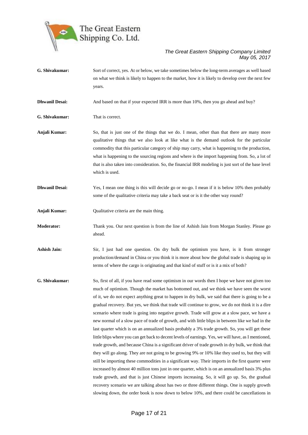

**G. Shivakumar:** Sort of correct, yes. At or below, we take sometimes below the long-term averages as well based on what we think is likely to happen to the market, how it is likely to develop over the next few years.

**Dhwanil Desai:** And based on that if your expected IRR is more than 10%, then you go ahead and buy?

**G. Shivakumar:** That is correct.

- Anjali Kumar: So, that is just one of the things that we do. I mean, other than that there are many more qualitative things that we also look at like what is the demand outlook for the particular commodity that this particular category of ship may carry, what is happening to the production, what is happening to the sourcing regions and where is the import happening from. So, a lot of that is also taken into consideration. So, the financial IRR modeling is just sort of the base level which is used.
- **Dhwanil Desai:** Yes, I mean one thing is this will decide go or no-go. I mean if it is below 10% then probably some of the qualitative criteria may take a back seat or is it the other way round?
- **Anjali Kumar:** Qualitative criteria are the main thing.
- **Moderator:** Thank you. Our next question is from the line of Ashish Jain from Morgan Stanley. Please go ahead.
- **Ashish Jain:** Sir, I just had one question. On dry bulk the optimism you have, is it from stronger production/demand in China or you think it is more about how the global trade is shaping up in terms of where the cargo is originating and that kind of stuff or is it a mix of both?
- **G. Shivakumar:** So, first of all, if you have read some optimism in our words then I hope we have not given too much of optimism. Though the market has bottomed out, and we think we have seen the worst of it, we do not expect anything great to happen in dry bulk, we said that there is going to be a gradual recovery. But yes, we think that trade will continue to grow, we do not think it is a dire scenario where trade is going into negative growth. Trade will grow at a slow pace, we have a new normal of a slow pace of trade of growth, and with little blips in between like we had in the last quarter which is on an annualized basis probably a 3% trade growth. So, you will get these little blips where you can get back to decent levels of earnings. Yes, we will have, as I mentioned, trade growth, and because China is a significant driver of trade growth in dry bulk, we think that they will go along. They are not going to be growing 9% or 10% like they used to, but they will still be importing these commodities in a significant way. Their imports in the first quarter were increased by almost 40 million tons just in one quarter, which is on an annualized basis 3% plus trade growth, and that is just Chinese imports increasing. So, it will go up. So, the gradual recovery scenario we are talking about has two or three different things. One is supply growth slowing down, the order book is now down to below 10%, and there could be cancellations in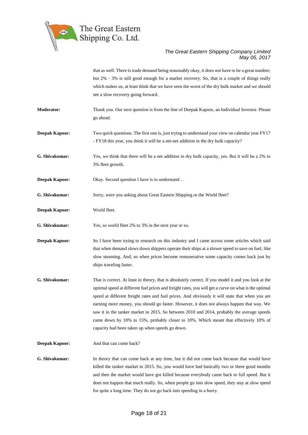

|                   | that as well. There is trade demand being reasonably okay, it does not have to be a great number;                                                                                                                                                                                                                                                                                                                                                                                                                                                                                                                                                      |
|-------------------|--------------------------------------------------------------------------------------------------------------------------------------------------------------------------------------------------------------------------------------------------------------------------------------------------------------------------------------------------------------------------------------------------------------------------------------------------------------------------------------------------------------------------------------------------------------------------------------------------------------------------------------------------------|
|                   | but 2% - 3% is still good enough for a market recovery. So, that is a couple of things really                                                                                                                                                                                                                                                                                                                                                                                                                                                                                                                                                          |
|                   | which makes us, at least think that we have seen the worst of the dry bulk market and we should                                                                                                                                                                                                                                                                                                                                                                                                                                                                                                                                                        |
|                   | see a slow recovery going forward.                                                                                                                                                                                                                                                                                                                                                                                                                                                                                                                                                                                                                     |
| <b>Moderator:</b> | Thank you. Our next question is from the line of Deepak Kapoor, an Individual Investor. Please<br>go ahead.                                                                                                                                                                                                                                                                                                                                                                                                                                                                                                                                            |
| Deepak Kapoor:    | Two quick questions. The first one is, just trying to understand your view on calendar year FY17<br>- FY18 this year, you think it will be a net-net addition in the dry bulk capacity?                                                                                                                                                                                                                                                                                                                                                                                                                                                                |
| G. Shivakumar:    | Yes, we think that there will be a net addition in dry bulk capacity, yes. But it will be a 2% to<br>3% fleet growth.                                                                                                                                                                                                                                                                                                                                                                                                                                                                                                                                  |
| Deepak Kapoor:    | Okay. Second question I have is to understand                                                                                                                                                                                                                                                                                                                                                                                                                                                                                                                                                                                                          |
| G. Shivakumar:    | Sorry, were you asking about Great Eastern Shipping or the World fleet?                                                                                                                                                                                                                                                                                                                                                                                                                                                                                                                                                                                |
| Deepak Kapoor:    | World fleet.                                                                                                                                                                                                                                                                                                                                                                                                                                                                                                                                                                                                                                           |
| G. Shivakumar:    | Yes, so world fleet 2% to 3% in the next year or so.                                                                                                                                                                                                                                                                                                                                                                                                                                                                                                                                                                                                   |
| Deepak Kapoor:    | So I have been trying to research on this industry and I came across some articles which said<br>that when demand slows down shippers operate their ships at a slower speed to save on fuel, like<br>slow steaming. And, so when prices become remunerative some capacity comes back just by<br>ships traveling faster.                                                                                                                                                                                                                                                                                                                                |
| G. Shivakumar:    | That is correct. At least in theory, that is absolutely correct. If you model it and you look at the<br>optimal speed at different fuel prices and freight rates, you will get a curve on what is the optimal<br>speed at different freight rates and fuel prices. And obviously it will state that when you are<br>earning more money, you should go faster. However, it does not always happen that way. We<br>saw it in the tanker market in 2015. So between 2010 and 2014, probably the average speeds<br>came down by 10% to 15%, probably closer to 10%. Which meant that effectively 10% of<br>capacity had been taken up when speeds go down. |
| Deepak Kapoor:    | And that can come back?                                                                                                                                                                                                                                                                                                                                                                                                                                                                                                                                                                                                                                |

**G. Shivakumar:** In theory that can come back at any time, but it did not come back because that would have killed the tanker market in 2015. So, you would have had basically two or three good months and then the market would have got killed because everybody came back to full speed. But it does not happen that much really. So, when people go into slow speed, they stay at slow speed for quite a long time. They do not go back into speeding in a hurry.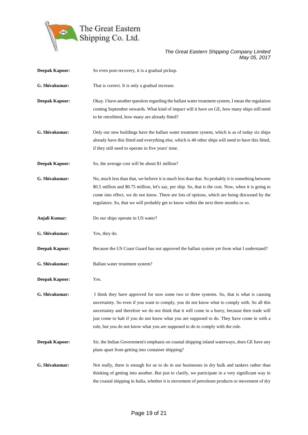

| <b>Deepak Kapoor:</b> | So even post-recovery, it is a gradual pickup.                                                                                                                                                                                                                                                                                                                                                                                                                               |
|-----------------------|------------------------------------------------------------------------------------------------------------------------------------------------------------------------------------------------------------------------------------------------------------------------------------------------------------------------------------------------------------------------------------------------------------------------------------------------------------------------------|
| G. Shivakumar:        | That is correct. It is only a gradual increase.                                                                                                                                                                                                                                                                                                                                                                                                                              |
| <b>Deepak Kapoor:</b> | Okay. I have another question regarding the ballast water treatment system, I mean the regulation<br>coming September onwards. What kind of impact will it have on GE, how many ships still need<br>to be retrofitted, how many are already fitted?                                                                                                                                                                                                                          |
| G. Shivakumar:        | Only our new buildings have the ballast water treatment system, which is as of today six ships<br>already have this fitted and everything else, which is 40 other ships will need to have this fitted,<br>if they still need to operate in five years' time.                                                                                                                                                                                                                 |
| <b>Deepak Kapoor:</b> | So, the average cost will be about \$1 million?                                                                                                                                                                                                                                                                                                                                                                                                                              |
| G. Shivakumar:        | No, much less than that, we believe it is much less than that. So probably it is something between<br>\$0.5 million and \$0.75 million, let's say, per ship. So, that is the cost. Now, when it is going to<br>come into effect, we do not know. There are lots of options, which are being discussed by the<br>regulators. So, that we will probably get to know within the next three months or so.                                                                        |
| Anjali Kumar:         | Do our ships operate in US water?                                                                                                                                                                                                                                                                                                                                                                                                                                            |
| G. Shivakumar:        | Yes, they do.                                                                                                                                                                                                                                                                                                                                                                                                                                                                |
| <b>Deepak Kapoor:</b> | Because the US Coast Guard has not approved the ballast system yet from what I understand?                                                                                                                                                                                                                                                                                                                                                                                   |
| G. Shivakumar:        | Ballast water treatment system?                                                                                                                                                                                                                                                                                                                                                                                                                                              |
| <b>Deepak Kapoor:</b> | Yes.                                                                                                                                                                                                                                                                                                                                                                                                                                                                         |
| G. Shivakumar:        | I think they have approved for now some two or three systems. So, that is what is causing<br>uncertainty. So even if you want to comply, you do not know what to comply with. So all this<br>uncertainty and therefore we do not think that it will come in a hurry, because then trade will<br>just come to halt if you do not know what you are supposed to do. They have come in with a<br>rule, but you do not know what you are supposed to do to comply with the rule. |
| <b>Deepak Kapoor:</b> | Sir, the Indian Government's emphasis on coastal shipping inland waterways, does GE have any<br>plans apart from getting into container shipping?                                                                                                                                                                                                                                                                                                                            |
| G. Shivakumar:        | Not really, there is enough for us to do in our businesses in dry bulk and tankers rather than<br>thinking of getting into another. But just to clarify, we participate in a very significant way in<br>the coastal shipping in India, whether it is movement of petroleum products or movement of dry                                                                                                                                                                       |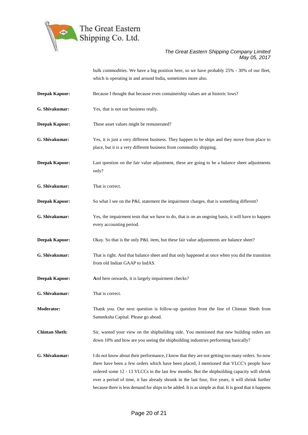

bulk commodities. We have a big position here, so we have probably 25% - 30% of our fleet, which is operating in and around India, sometimes more also.

- **Deepak Kapoor:** Because I thought that because even containership values are at historic lows?
- **G. Shivakumar:** Yes, that is not our business really.
- **Deepak Kapoor:** These asset values might be remunerated?
- **G. Shivakumar:** Yes, it is just a very different business. They happen to be ships and they move from place to place, but it is a very different business from commodity shipping.
- **Deepak Kapoor:** Last question on the fair value adjustment, these are going to be a balance sheet adjustments only?
- **G. Shivakumar:** That is correct.
- **Deepak Kapoor:** So what I see on the P&L statement the impairment charges, that is something different?
- **G. Shivakumar:** Yes, the impairment tests that we have to do, that is on an ongoing basis, it will have to happen every accounting period.
- **Deepak Kapoor:** Okay. So that is the only P&L item, but these fair value adjustments are balance sheet?
- **G. Shivakumar:** That is right. And that balance sheet and that only happened at once when you did the transition from old Indian GAAP to IndAS.
- **Deepak Kapoor: A**nd here onwards, it is largely impairment checks?
- **G. Shivakumar:** That is correct.
- **Moderator:** Thank you. Our next question is follow-up question from the line of Chintan Sheth from Sameeksha Capital. Please go ahead.
- **Chintan Sheth:** Sir, wanted your view on the shipbuilding side. You mentioned that new building orders are down 10% and how are you seeing the shipbuilding industries performing basically?
- **G. Shivakumar:** I do not know about their performance, I know that they are not getting too many orders. So now there have been a few orders which have been placed, I mentioned that VLCC's people have ordered some 12 - 13 VLCCs in the last few months. But the shipbuilding capacity will shrink over a period of time, it has already shrunk in the last four, five years, it will shrink further because there is less demand for ships to be added. It is as simple as that. It is good that it happens